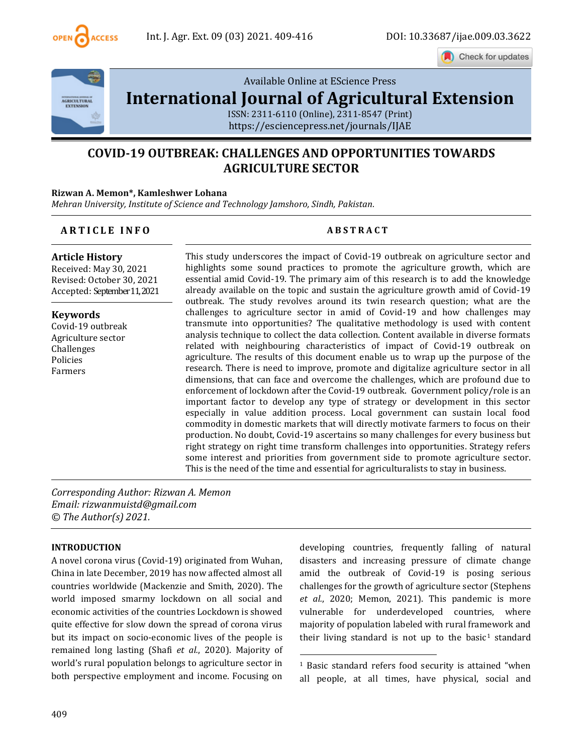

Check for updates



[Available Online at EScience Press](file:///C:/Users/user/Downloads/finalvol9issue32021ijae26articles/Available%20Online%20at%20EScience%20Press%20International%20Journal%20of%20Agricultural%20ExtensionISSN:%202311-6110%20(Online),%202311-8547%20(Print)https:/esciencepress.net/journals/IJAE) 

# **[International Journal of Agricultural Extension](file:///C:/Users/user/Downloads/finalvol9issue32021ijae26articles/Available%20Online%20at%20EScience%20Press%20International%20Journal%20of%20Agricultural%20ExtensionISSN:%202311-6110%20(Online),%202311-8547%20(Print)https:/esciencepress.net/journals/IJAE)**

[ISSN: 2311-6110 \(Online\), 2311-8547 \(Print\)](file:///C:/Users/user/Downloads/finalvol9issue32021ijae26articles/Available%20Online%20at%20EScience%20Press%20International%20Journal%20of%20Agricultural%20ExtensionISSN:%202311-6110%20(Online),%202311-8547%20(Print)https:/esciencepress.net/journals/IJAE) [https://esciencepress.net/journals/IJAE](file:///C:/Users/user/Downloads/finalvol9issue32021ijae26articles/Available%20Online%20at%20EScience%20Press%20International%20Journal%20of%20Agricultural%20ExtensionISSN:%202311-6110%20(Online),%202311-8547%20(Print)https:/esciencepress.net/journals/IJAE)

## **COVID-19 OUTBREAK: CHALLENGES AND OPPORTUNITIES TOWARDS AGRICULTURE SECTOR**

#### **Rizwan A. Memon\*, Kamleshwer Lohana**

*Mehran University, Institute of Science and Technology Jamshoro, Sindh, Pakistan.*

#### **A R T I C L E I N F O A B S T R A C T**

#### **Article History**

Received: May 30, 2021 Revised: October 30, 2021 Accepted: September11, 2021

**Keywords** Covid-19 outbreak Agriculture sector Challenges Policies Farmers

This study underscores the impact of Covid-19 outbreak on agriculture sector and highlights some sound practices to promote the agriculture growth, which are essential amid Covid-19. The primary aim of this research is to add the knowledge already available on the topic and sustain the agriculture growth amid of Covid-19 outbreak. The study revolves around its twin research question; what are the challenges to agriculture sector in amid of Covid-19 and how challenges may transmute into opportunities? The qualitative methodology is used with content analysis technique to collect the data collection. Content available in diverse formats related with neighbouring characteristics of impact of Covid-19 outbreak on agriculture. The results of this document enable us to wrap up the purpose of the research. There is need to improve, promote and digitalize agriculture sector in all dimensions, that can face and overcome the challenges, which are profound due to enforcement of lockdown after the Covid-19 outbreak. Government policy/role is an important factor to develop any type of strategy or development in this sector especially in value addition process. Local government can sustain local food commodity in domestic markets that will directly motivate farmers to focus on their production. No doubt, Covid-19 ascertains so many challenges for every business but right strategy on right time transform challenges into opportunities. Strategy refers some interest and priorities from government side to promote agriculture sector. This is the need of the time and essential for agriculturalists to stay in business.

*Corresponding Author: Rizwan A. Memon Email: rizwanmuistd@gmail.com © The Author(s) 2021.*

#### **INTRODUCTION**

A novel corona virus (Covid-19) originated from Wuhan, China in late December, 2019 has now affected almost all countries worldwide (Mackenzie and Smith, 2020). The world imposed smarmy lockdown on all social and economic activities of the countries Lockdown is showed quite effective for slow down the spread of corona virus but its impact on socio-economic lives of the people is remained long lasting (Shafi *et al.*, 2020). Majority of world's rural population belongs to agriculture sector in both perspective employment and income. Focusing on developing countries, frequently falling of natural disasters and increasing pressure of climate change amid the outbreak of Covid-19 is posing serious challenges for the growth of agriculture sector (Stephens *et al.*, 2020; Memon, 2021). This pandemic is more vulnerable for underdeveloped countries, where majority of population labeled with rural framework and their living standard is not up to the basic<sup>1</sup> standard

<sup>1</sup> Basic standard refers food security is attained "when all people, at all times, have physical, social and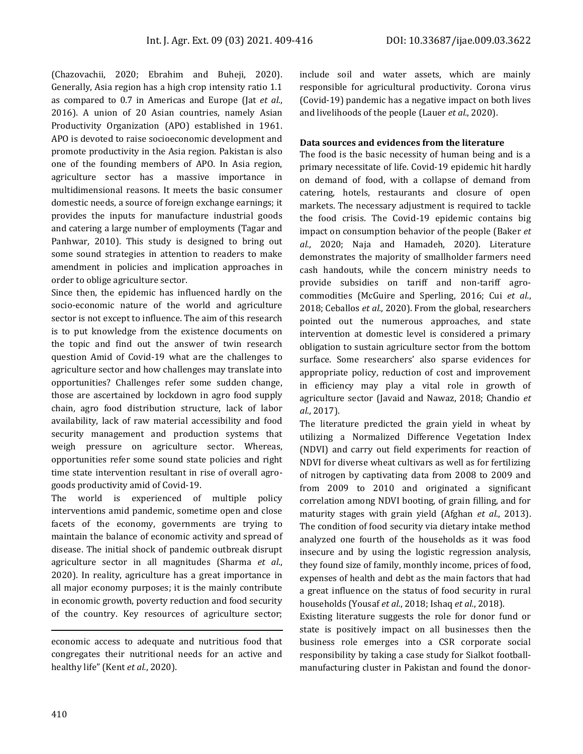(Chazovachii, 2020; Ebrahim and Buheji, 2020). Generally, Asia region has a high crop intensity ratio 1.1 as compared to 0.7 in Americas and Europe (Jat *et al.*, 2016). A union of 20 Asian countries, namely Asian Productivity Organization (APO) established in 1961. APO is devoted to raise socioeconomic development and promote productivity in the Asia region. Pakistan is also one of the founding members of APO. In Asia region, agriculture sector has a massive importance in multidimensional reasons. It meets the basic consumer domestic needs, a source of foreign exchange earnings; it provides the inputs for manufacture industrial goods and catering a large number of employments (Tagar and Panhwar, 2010). This study is designed to bring out some sound strategies in attention to readers to make amendment in policies and implication approaches in order to oblige agriculture sector.

Since then, the epidemic has influenced hardly on the socio-economic nature of the world and agriculture sector is not except to influence. The aim of this research is to put knowledge from the existence documents on the topic and find out the answer of twin research question Amid of Covid-19 what are the challenges to agriculture sector and how challenges may translate into opportunities? Challenges refer some sudden change, those are ascertained by lockdown in agro food supply chain, agro food distribution structure, lack of labor availability, lack of raw material accessibility and food security management and production systems that weigh pressure on agriculture sector. Whereas, opportunities refer some sound state policies and right time state intervention resultant in rise of overall agrogoods productivity amid of Covid-19.

The world is experienced of multiple policy interventions amid pandemic, sometime open and close facets of the economy, governments are trying to maintain the balance of economic activity and spread of disease. The initial shock of pandemic outbreak disrupt agriculture sector in all magnitudes (Sharma *et al.*, 2020). In reality, agriculture has a great importance in all major economy purposes; it is the mainly contribute in economic growth, poverty reduction and food security of the country. Key resources of agriculture sector;

include soil and water assets, which are mainly responsible for agricultural productivity. Corona virus (Covid-19) pandemic has a negative impact on both lives and livelihoods of the people (Lauer *et al.*, 2020).

#### **Data sources and evidences from the literature**

The food is the basic necessity of human being and is a primary necessitate of life. Covid-19 epidemic hit hardly on demand of food, with a collapse of demand from catering, hotels, restaurants and closure of open markets. The necessary adjustment is required to tackle the food crisis. The Covid-19 epidemic contains big impact on consumption behavior of the people (Baker *et al.*, 2020; Naja and Hamadeh, 2020). Literature demonstrates the majority of smallholder farmers need cash handouts, while the concern ministry needs to provide subsidies on tariff and non-tariff agrocommodities (McGuire and Sperling, 2016; Cui *et al.*, 2018; Ceballos *et al.*, 2020). From the global, researchers pointed out the numerous approaches, and state intervention at domestic level is considered a primary obligation to sustain agriculture sector from the bottom surface. Some researchers' also sparse evidences for appropriate policy, reduction of cost and improvement in efficiency may play a vital role in growth of agriculture sector (Javaid and Nawaz, 2018; Chandio *et al.*, 2017).

The literature predicted the grain yield in wheat by utilizing a Normalized Difference Vegetation Index (NDVI) and carry out field experiments for reaction of NDVI for diverse wheat cultivars as well as for fertilizing of nitrogen by captivating data from 2008 to 2009 and from 2009 to 2010 and originated a significant correlation among NDVI booting, of grain filling, and for maturity stages with grain yield (Afghan *et al.*, 2013). The condition of food security via dietary intake method analyzed one fourth of the households as it was food insecure and by using the logistic regression analysis, they found size of family, monthly income, prices of food, expenses of health and debt as the main factors that had a great influence on the status of food security in rural households (Yousaf *et al.*, 2018; Ishaq *et al.*, 2018).

Existing literature suggests the role for donor fund or state is positively impact on all businesses then the business role emerges into a CSR corporate social responsibility by taking a case study for Sialkot footballmanufacturing cluster in Pakistan and found the donor-

economic access to adequate and nutritious food that congregates their nutritional needs for an active and healthy life" (Kent *et al.*, 2020).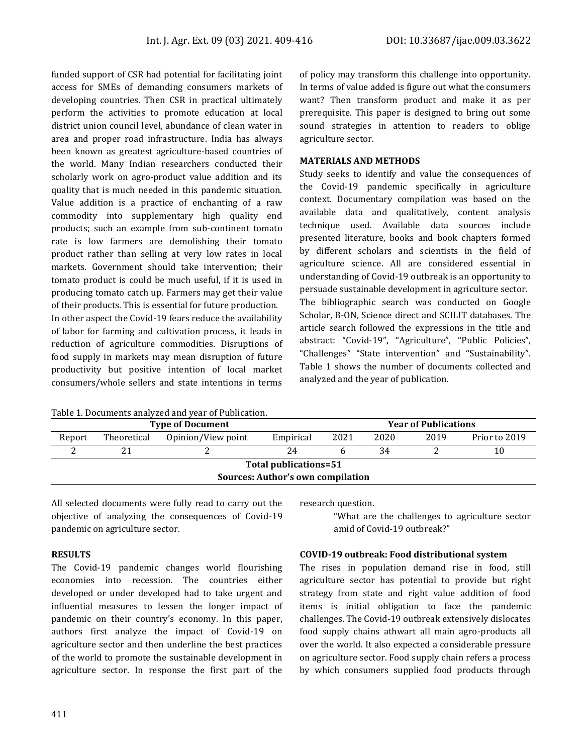funded support of CSR had potential for facilitating joint access for SMEs of demanding consumers markets of developing countries. Then CSR in practical ultimately perform the activities to promote education at local district union council level, abundance of clean water in area and proper road infrastructure. India has always been known as greatest agriculture-based countries of the world. Many Indian researchers conducted their scholarly work on agro-product value addition and its quality that is much needed in this pandemic situation. Value addition is a practice of enchanting of a raw commodity into supplementary high quality end products; such an example from sub-continent tomato rate is low farmers are demolishing their tomato product rather than selling at very low rates in local markets. Government should take intervention; their tomato product is could be much useful, if it is used in producing tomato catch up. Farmers may get their value of their products. This is essential for future production. In other aspect the Covid-19 fears reduce the availability of labor for farming and cultivation process, it leads in reduction of agriculture commodities. Disruptions of food supply in markets may mean disruption of future productivity but positive intention of local market consumers/whole sellers and state intentions in terms

Table 1. Documents analyzed and year of Publication.

of policy may transform this challenge into opportunity. In terms of value added is figure out what the consumers want? Then transform product and make it as per prerequisite. This paper is designed to bring out some sound strategies in attention to readers to oblige agriculture sector.

#### **MATERIALS AND METHODS**

Study seeks to identify and value the consequences of the Covid-19 pandemic specifically in agriculture context. Documentary compilation was based on the available data and qualitatively, content analysis technique used. Available data sources include presented literature, books and book chapters formed by different scholars and scientists in the field of agriculture science. All are considered essential in understanding of Covid-19 outbreak is an opportunity to persuade sustainable development in agriculture sector. The bibliographic search was conducted on Google Scholar, B-ON, Science direct and SCILIT databases. The article search followed the expressions in the title and abstract: "Covid-19", "Agriculture", "Public Policies", "Challenges" "State intervention" and "Sustainability". Table 1 shows the number of documents collected and analyzed and the year of publication.

| <b>Type of Document</b>                  |             |                    |           | <b>Year of Publications</b> |      |      |               |  |  |
|------------------------------------------|-------------|--------------------|-----------|-----------------------------|------|------|---------------|--|--|
| Report                                   | Theoretical | Opinion/View point | Empirical | 2021                        | 2020 | 2019 | Prior to 2019 |  |  |
|                                          |             |                    |           |                             | 34   |      |               |  |  |
| Total publications=51                    |             |                    |           |                             |      |      |               |  |  |
| <b>Sources: Author's own compilation</b> |             |                    |           |                             |      |      |               |  |  |

All selected documents were fully read to carry out the objective of analyzing the consequences of Covid-19 pandemic on agriculture sector.

#### **RESULTS**

The Covid-19 pandemic changes world flourishing economies into recession. The countries either developed or under developed had to take urgent and influential measures to lessen the longer impact of pandemic on their country's economy. In this paper, authors first analyze the impact of Covid-19 on agriculture sector and then underline the best practices of the world to promote the sustainable development in agriculture sector. In response the first part of the

research question.

"What are the challenges to agriculture sector amid of Covid-19 outbreak?"

#### **COVID-19 outbreak: Food distributional system**

The rises in population demand rise in food, still agriculture sector has potential to provide but right strategy from state and right value addition of food items is initial obligation to face the pandemic challenges. The Covid-19 outbreak extensively dislocates food supply chains athwart all main agro-products all over the world. It also expected a considerable pressure on agriculture sector. Food supply chain refers a process by which consumers supplied food products through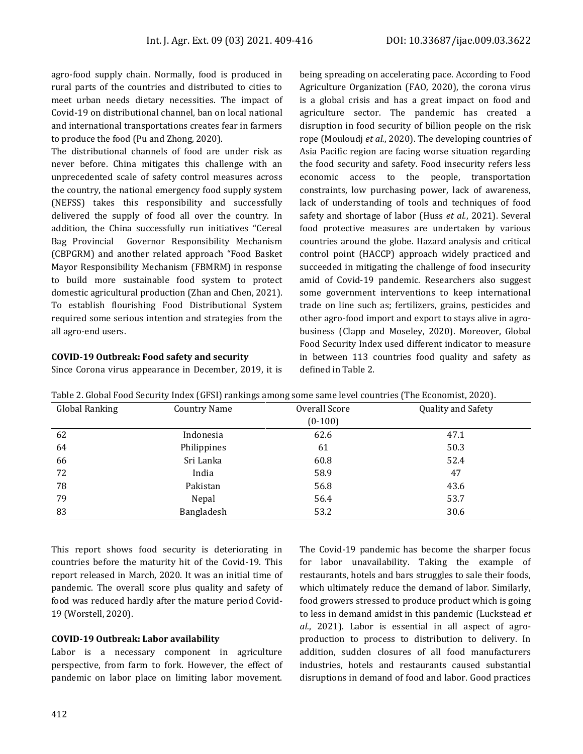agro-food supply chain. Normally, food is produced in rural parts of the countries and distributed to cities to meet urban needs dietary necessities. The impact of Covid-19 on distributional channel, ban on local national and international transportations creates fear in farmers to produce the food (Pu and Zhong, 2020).

The distributional channels of food are under risk as never before. China mitigates this challenge with an unprecedented scale of safety control measures across the country, the national emergency food supply system (NEFSS) takes this responsibility and successfully delivered the supply of food all over the country. In addition, the China successfully run initiatives "Cereal Bag Provincial Governor Responsibility Mechanism (CBPGRM) and another related approach "Food Basket Mayor Responsibility Mechanism (FBMRM) in response to build more sustainable food system to protect domestic agricultural production (Zhan and Chen, 2021). To establish flourishing Food Distributional System required some serious intention and strategies from the all agro-end users.

#### **COVID-19 Outbreak: Food safety and security**

Since Corona virus appearance in December, 2019, it is

being spreading on accelerating pace. According to Food Agriculture Organization (FAO, 2020), the corona virus is a global crisis and has a great impact on food and agriculture sector. The pandemic has created a disruption in food security of billion people on the risk rope (Mouloudj *et al.*, 2020). The developing countries of Asia Pacific region are facing worse situation regarding the food security and safety. Food insecurity refers less economic access to the people, transportation constraints, low purchasing power, lack of awareness, lack of understanding of tools and techniques of food safety and shortage of labor (Huss *et al.*, 2021). Several food protective measures are undertaken by various countries around the globe. Hazard analysis and critical control point (HACCP) approach widely practiced and succeeded in mitigating the challenge of food insecurity amid of Covid-19 pandemic. Researchers also suggest some government interventions to keep international trade on line such as; fertilizers, grains, pesticides and other agro-food import and export to stays alive in agrobusiness (Clapp and Moseley, 2020). Moreover, Global Food Security Index used different indicator to measure in between 113 countries food quality and safety as defined in Table 2.

| Global Ranking | Country Name | Overall Score | <b>Quality and Safety</b> |  |
|----------------|--------------|---------------|---------------------------|--|
|                |              | $(0-100)$     |                           |  |
| 62             | Indonesia    | 62.6          | 47.1                      |  |
| 64             | Philippines  | 61            | 50.3                      |  |
| 66             | Sri Lanka    | 60.8          | 52.4                      |  |
| 72             | India        | 58.9          | 47                        |  |
| 78             | Pakistan     | 56.8          | 43.6                      |  |
| 79             | Nepal        | 56.4          | 53.7                      |  |
| 83             | Bangladesh   | 53.2          | 30.6                      |  |

Table 2. Global Food Security Index (GFSI) rankings among some same level countries (The Economist, 2020).

This report shows food security is deteriorating in countries before the maturity hit of the Covid-19. This report released in March, 2020. It was an initial time of pandemic. The overall score plus quality and safety of food was reduced hardly after the mature period Covid-19 (Worstell, 2020).

#### **COVID-19 Outbreak: Labor availability**

Labor is a necessary component in agriculture perspective, from farm to fork. However, the effect of pandemic on labor place on limiting labor movement.

The Covid-19 pandemic has become the sharper focus for labor unavailability. Taking the example of restaurants, hotels and bars struggles to sale their foods, which ultimately reduce the demand of labor. Similarly, food growers stressed to produce product which is going to less in demand amidst in this pandemic (Luckstead *et al.*, 2021). Labor is essential in all aspect of agroproduction to process to distribution to delivery. In addition, sudden closures of all food manufacturers industries, hotels and restaurants caused substantial disruptions in demand of food and labor. Good practices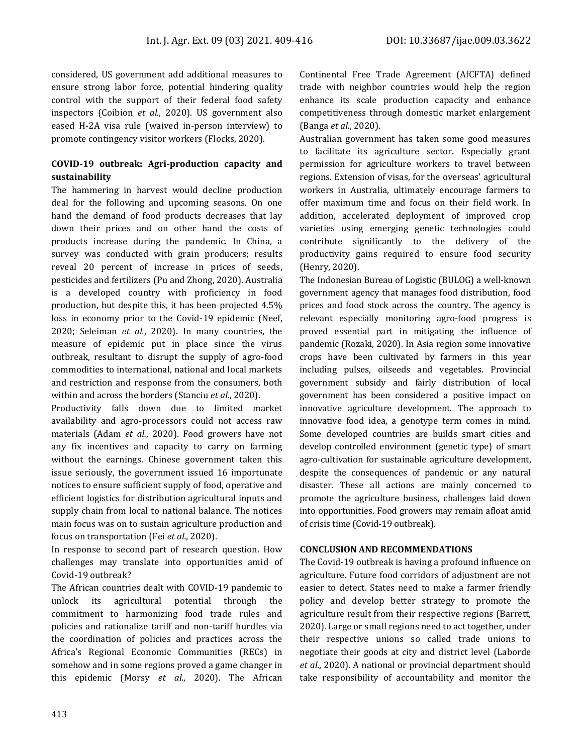considered, US government add additional measures to ensure strong labor force, potential hindering quality control with the support of their federal food safety inspectors (Coibion *et al.*, 2020). US government also eased H-2A visa rule (waived in-person interview) to promote contingency visitor workers (Flocks, 2020).

### **COVID-19 outbreak: Agri-production capacity and sustainability**

The hammering in harvest would decline production deal for the following and upcoming seasons. On one hand the demand of food products decreases that lay down their prices and on other hand the costs of products increase during the pandemic. In China, a survey was conducted with grain producers; results reveal 20 percent of increase in prices of seeds, pesticides and fertilizers (Pu and Zhong, 2020). Australia is a developed country with proficiency in food production, but despite this, it has been projected 4.5% loss in economy prior to the Covid-19 epidemic (Neef, 2020; Seleiman *et al.*, 2020). In many countries, the measure of epidemic put in place since the virus outbreak, resultant to disrupt the supply of agro-food commodities to international, national and local markets and restriction and response from the consumers, both within and across the borders (Stanciu *et al.*, 2020).

Productivity falls down due to limited market availability and agro-processors could not access raw materials (Adam *et al.*, 2020). Food growers have not any fix incentives and capacity to carry on farming without the earnings. Chinese government taken this issue seriously, the government issued 16 importunate notices to ensure sufficient supply of food, operative and efficient logistics for distribution agricultural inputs and supply chain from local to national balance. The notices main focus was on to sustain agriculture production and focus on transportation (Fei *et al.*, 2020).

In response to second part of research question. How challenges may translate into opportunities amid of Covid-19 outbreak?

The African countries dealt with COVID-19 pandemic to unlock its agricultural potential through the commitment to harmonizing food trade rules and policies and rationalize tariff and non-tariff hurdles via the coordination of policies and practices across the Africa's Regional Economic Communities (RECs) in somehow and in some regions proved a game changer in this epidemic (Morsy *et al.*, 2020). The African Continental Free Trade Agreement (AfCFTA) defined trade with neighbor countries would help the region enhance its scale production capacity and enhance competitiveness through domestic market enlargement (Banga *et al.*, 2020).

Australian government has taken some good measures to facilitate its agriculture sector. Especially grant permission for agriculture workers to travel between regions. Extension of visas, for the overseas' agricultural workers in Australia, ultimately encourage farmers to offer maximum time and focus on their field work. In addition, accelerated deployment of improved crop varieties using emerging genetic technologies could contribute significantly to the delivery of the productivity gains required to ensure food security (Henry, 2020).

The Indonesian Bureau of Logistic (BULOG) a well-known government agency that manages food distribution, food prices and food stock across the country. The agency is relevant especially monitoring agro-food progress is proved essential part in mitigating the influence of pandemic (Rozaki, 2020). In Asia region some innovative crops have been cultivated by farmers in this year including pulses, oilseeds and vegetables. Provincial government subsidy and fairly distribution of local government has been considered a positive impact on innovative agriculture development. The approach to innovative food idea, a genotype term comes in mind. Some developed countries are builds smart cities and develop controlled environment (genetic type) of smart agro-cultivation for sustainable agriculture development, despite the consequences of pandemic or any natural disaster. These all actions are mainly concerned to promote the agriculture business, challenges laid down into opportunities. Food growers may remain afloat amid of crisis time (Covid-19 outbreak).

#### **CONCLUSION AND RECOMMENDATIONS**

The Covid-19 outbreak is having a profound influence on agriculture. Future food corridors of adjustment are not easier to detect. States need to make a farmer friendly policy and develop better strategy to promote the agriculture result from their respective regions (Barrett, 2020). Large or small regions need to act together, under their respective unions so called trade unions to negotiate their goods at city and district level (Laborde *et al.*, 2020). A national or provincial department should take responsibility of accountability and monitor the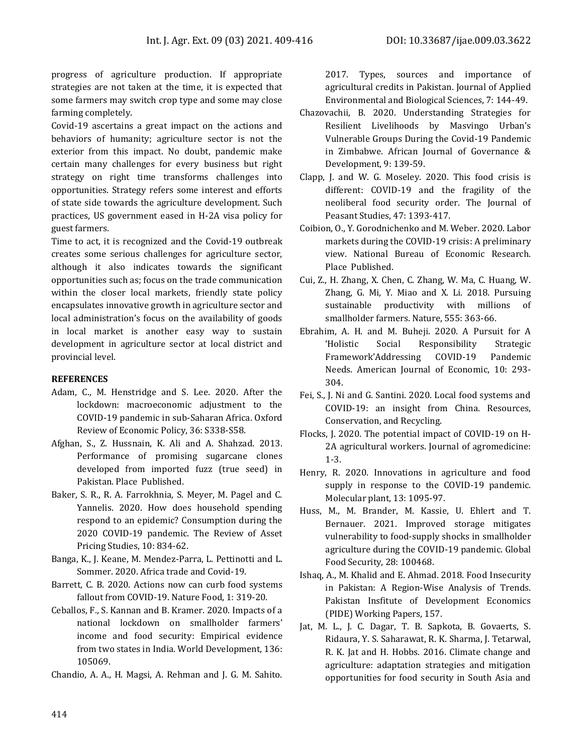progress of agriculture production. If appropriate strategies are not taken at the time, it is expected that some farmers may switch crop type and some may close farming completely.

Covid-19 ascertains a great impact on the actions and behaviors of humanity; agriculture sector is not the exterior from this impact. No doubt, pandemic make certain many challenges for every business but right strategy on right time transforms challenges into opportunities. Strategy refers some interest and efforts of state side towards the agriculture development. Such practices, US government eased in H-2A visa policy for guest farmers.

Time to act, it is recognized and the Covid-19 outbreak creates some serious challenges for agriculture sector, although it also indicates towards the significant opportunities such as; focus on the trade communication within the closer local markets, friendly state policy encapsulates innovative growth in agriculture sector and local administration's focus on the availability of goods in local market is another easy way to sustain development in agriculture sector at local district and provincial level.

#### **REFERENCES**

- Adam, C., M. Henstridge and S. Lee. 2020. After the lockdown: macroeconomic adjustment to the COVID-19 pandemic in sub-Saharan Africa. Oxford Review of Economic Policy, 36: S338-S58.
- Afghan, S., Z. Hussnain, K. Ali and A. Shahzad. 2013. Performance of promising sugarcane clones developed from imported fuzz (true seed) in Pakistan. Place Published.
- Baker, S. R., R. A. Farrokhnia, S. Meyer, M. Pagel and C. Yannelis. 2020. How does household spending respond to an epidemic? Consumption during the 2020 COVID-19 pandemic. The Review of Asset Pricing Studies, 10: 834-62.
- Banga, K., J. Keane, M. Mendez-Parra, L. Pettinotti and L. Sommer. 2020. Africa trade and Covid-19.
- Barrett, C. B. 2020. Actions now can curb food systems fallout from COVID-19. Nature Food, 1: 319-20.
- Ceballos, F., S. Kannan and B. Kramer. 2020. Impacts of a national lockdown on smallholder farmers' income and food security: Empirical evidence from two states in India. World Development, 136: 105069.
- Chandio, A. A., H. Magsi, A. Rehman and J. G. M. Sahito.

2017. Types, sources and importance of agricultural credits in Pakistan. Journal of Applied Environmental and Biological Sciences, 7: 144-49.

- Chazovachii, B. 2020. Understanding Strategies for Resilient Livelihoods by Masvingo Urban's Vulnerable Groups During the Covid-19 Pandemic in Zimbabwe. African Journal of Governance & Development, 9: 139-59.
- Clapp, J. and W. G. Moseley. 2020. This food crisis is different: COVID-19 and the fragility of the neoliberal food security order. The Journal of Peasant Studies, 47: 1393-417.
- Coibion, O., Y. Gorodnichenko and M. Weber. 2020. Labor markets during the COVID-19 crisis: A preliminary view. National Bureau of Economic Research. Place Published.
- Cui, Z., H. Zhang, X. Chen, C. Zhang, W. Ma, C. Huang, W. Zhang, G. Mi, Y. Miao and X. Li. 2018. Pursuing sustainable productivity with millions of smallholder farmers. Nature, 555: 363-66.
- Ebrahim, A. H. and M. Buheji. 2020. A Pursuit for A 'Holistic Social Responsibility Strategic Framework'Addressing COVID-19 Pandemic Needs. American Journal of Economic, 10: 293- 304.
- Fei, S., J. Ni and G. Santini. 2020. Local food systems and COVID-19: an insight from China. Resources, Conservation, and Recycling.
- Flocks, J. 2020. The potential impact of COVID-19 on H-2A agricultural workers. Journal of agromedicine: 1-3.
- Henry, R. 2020. Innovations in agriculture and food supply in response to the COVID-19 pandemic. Molecular plant, 13: 1095-97.
- Huss, M., M. Brander, M. Kassie, U. Ehlert and T. Bernauer. 2021. Improved storage mitigates vulnerability to food-supply shocks in smallholder agriculture during the COVID-19 pandemic. Global Food Security, 28: 100468.
- Ishaq, A., M. Khalid and E. Ahmad. 2018. Food Insecurity in Pakistan: A Region-Wise Analysis of Trends. Pakistan Insfitute of Development Economics (PIDE) Working Papers, 157.
- Jat, M. L., J. C. Dagar, T. B. Sapkota, B. Govaerts, S. Ridaura, Y. S. Saharawat, R. K. Sharma, J. Tetarwal, R. K. Jat and H. Hobbs. 2016. Climate change and agriculture: adaptation strategies and mitigation opportunities for food security in South Asia and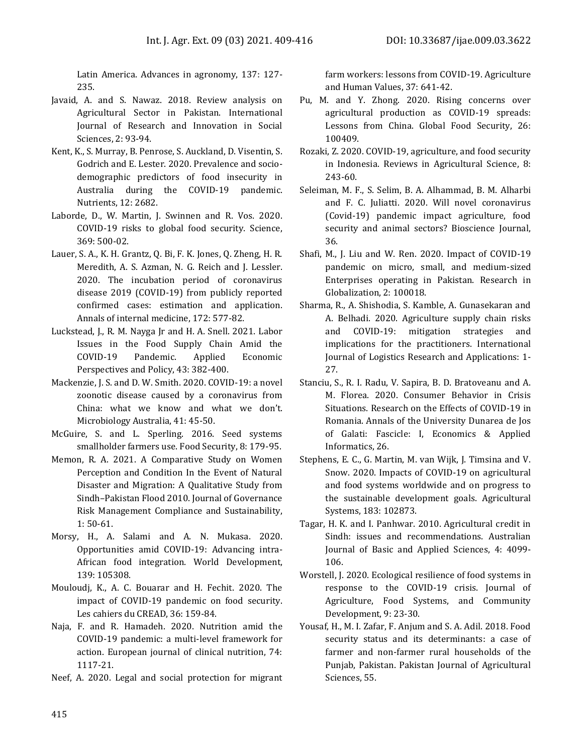Latin America. Advances in agronomy, 137: 127- 235.

- Javaid, A. and S. Nawaz. 2018. Review analysis on Agricultural Sector in Pakistan. International Journal of Research and Innovation in Social Sciences, 2: 93-94.
- Kent, K., S. Murray, B. Penrose, S. Auckland, D. Visentin, S. Godrich and E. Lester. 2020. Prevalence and sociodemographic predictors of food insecurity in Australia during the COVID-19 pandemic. Nutrients, 12: 2682.
- Laborde, D., W. Martin, J. Swinnen and R. Vos. 2020. COVID-19 risks to global food security. Science, 369: 500-02.
- Lauer, S. A., K. H. Grantz, Q. Bi, F. K. Jones, Q. Zheng, H. R. Meredith, A. S. Azman, N. G. Reich and J. Lessler. 2020. The incubation period of coronavirus disease 2019 (COVID-19) from publicly reported confirmed cases: estimation and application. Annals of internal medicine, 172: 577-82.
- Luckstead, J., R. M. Nayga Jr and H. A. Snell. 2021. Labor Issues in the Food Supply Chain Amid the COVID‑19 Pandemic. Applied Economic Perspectives and Policy, 43: 382-400.
- Mackenzie, J. S. and D. W. Smith. 2020. COVID-19: a novel zoonotic disease caused by a coronavirus from China: what we know and what we don't. Microbiology Australia, 41: 45-50.
- McGuire, S. and L. Sperling. 2016. Seed systems smallholder farmers use. Food Security, 8: 179-95.
- Memon, R. A. 2021. A Comparative Study on Women Perception and Condition In the Event of Natural Disaster and Migration: A Qualitative Study from Sindh–Pakistan Flood 2010. Journal of Governance Risk Management Compliance and Sustainability, 1: 50-61.
- Morsy, H., A. Salami and A. N. Mukasa. 2020. Opportunities amid COVID-19: Advancing intra-African food integration. World Development, 139: 105308.
- Mouloudj, K., A. C. Bouarar and H. Fechit. 2020. The impact of COVID-19 pandemic on food security. Les cahiers du CREAD, 36: 159-84.
- Naja, F. and R. Hamadeh. 2020. Nutrition amid the COVID-19 pandemic: a multi-level framework for action. European journal of clinical nutrition, 74: 1117-21.
- Neef, A. 2020. Legal and social protection for migrant

farm workers: lessons from COVID-19. Agriculture and Human Values, 37: 641-42.

- Pu, M. and Y. Zhong. 2020. Rising concerns over agricultural production as COVID-19 spreads: Lessons from China. Global Food Security, 26: 100409.
- Rozaki, Z. 2020. COVID-19, agriculture, and food security in Indonesia. Reviews in Agricultural Science, 8: 243-60.
- Seleiman, M. F., S. Selim, B. A. Alhammad, B. M. Alharbi and F. C. Juliatti. 2020. Will novel coronavirus (Covid-19) pandemic impact agriculture, food security and animal sectors? Bioscience Journal, 36.
- Shafi, M., J. Liu and W. Ren. 2020. Impact of COVID-19 pandemic on micro, small, and medium-sized Enterprises operating in Pakistan. Research in Globalization, 2: 100018.
- Sharma, R., A. Shishodia, S. Kamble, A. Gunasekaran and A. Belhadi. 2020. Agriculture supply chain risks and COVID-19: mitigation strategies and implications for the practitioners. International Journal of Logistics Research and Applications: 1- 27.
- Stanciu, S., R. I. Radu, V. Sapira, B. D. Bratoveanu and A. M. Florea. 2020. Consumer Behavior in Crisis Situations. Research on the Effects of COVID-19 in Romania. Annals of the University Dunarea de Jos of Galati: Fascicle: I, Economics & Applied Informatics, 26.
- Stephens, E. C., G. Martin, M. van Wijk, J. Timsina and V. Snow. 2020. Impacts of COVID-19 on agricultural and food systems worldwide and on progress to the sustainable development goals. Agricultural Systems, 183: 102873.
- Tagar, H. K. and I. Panhwar. 2010. Agricultural credit in Sindh: issues and recommendations. Australian Journal of Basic and Applied Sciences, 4: 4099- 106.
- Worstell, J. 2020. Ecological resilience of food systems in response to the COVID-19 crisis. Journal of Agriculture, Food Systems, and Community Development, 9: 23-30.
- Yousaf, H., M. I. Zafar, F. Anjum and S. A. Adil. 2018. Food security status and its determinants: a case of farmer and non-farmer rural households of the Punjab, Pakistan. Pakistan Journal of Agricultural Sciences, 55.